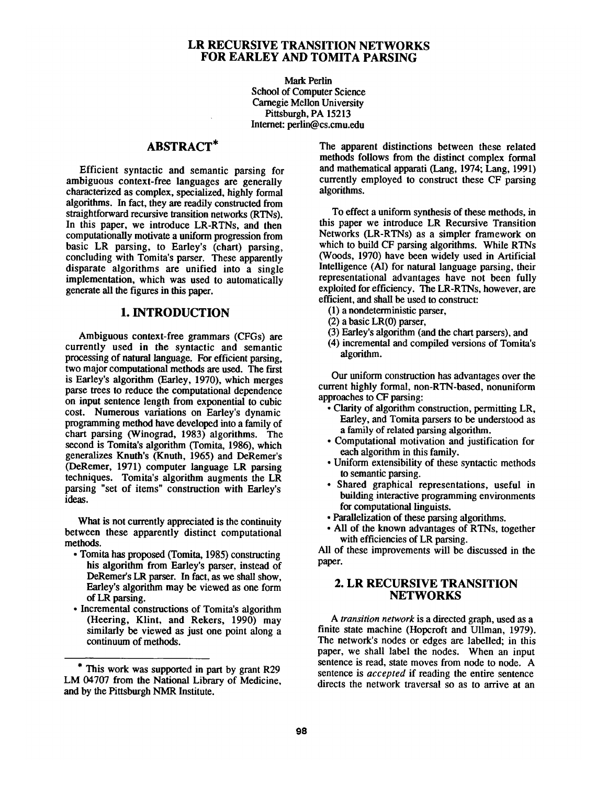## LR RECURSIVE TRANSITION NETWORKS FOR EARLEY AND TOMITA PARSING

Mark Perlin School of Computer Science Carnegie Mellon University Pittsburgh, PA 15213 Internet: perlin@cs.cmu.edu

# ABSTRACT\*

Efficient syntactic and semantic parsing for ambiguous context-free languages are generally characterized as complex, specialized, highly formal algorithms. In fact, they are readily constructed from straightforward recursive transition networks (RTNs). In this paper, we introduce LR-RTNs, and then computationally motivate a uniform progression from basic LR parsing, to Earley's (chart) parsing, concluding with Tomita's parser. These apparently disparate algorithms are unified into a single implementation, which was used to automatically generate all the figures in this paper.

# 1. INTRODUCTION

Ambiguous context-free grammars (CFGs) are currently used in the syntactic and semantic processing of natural language. For efficient parsing, two major computational methods are used. The first is Earley's algorithm (Earley, 1970), which merges parse trees to reduce the computational dependence on input sentence length from exponential to cubic cost. Numerous variations on Earley's dynamic programming method have developed into a family of chart parsing (Winograd, 1983) algorithms. The second is Tomita's algorithm (Tomita, 1986), which generalizes Knuth's (Knuth, 1965) and DeRemer's (DeRemer, 1971) computer language LR parsing techniques. Tomita's algorithm augments the LR parsing "set of items" construction with Earley's ideas.

What is not currently appreciated is the continuity between these apparently distinct computational methods.

- Tomita has proposed (Tomita, 1985) constructing his algorithm from Earley's parser, instead of DeRemer's LR parser. In fact, as we shall show, Earley's algorithm may be viewed as one form of LR parsing.
- Incremental constructions of Tomita's algorithm (Heering, Klint, and Rekers, 1990) may similarly be viewed as just one point along a continuum of methods.

The apparent distinctions between these related methods follows from the distinct complex formal and mathematical apparati (Lang, 1974; Lang, 1991) currently employed to construct these CF parsing algorithms.

To effect a uniform synthesis of these methods, in this paper we introduce LR Recursive Transition Networks (LR-RTNs) as a simpler framework on which to build CF parsing algorithms. While RTNs (Woods, 1970) have been widely used in Artificial Intelligence (AI) for natural language parsing, their representational advantages have not been fully exploited for efficiency. The LR-RTNs, however, are efficient, and shall be used to construct:

- (1) a nondeterministic parser,
- (2) a basic LR(0) parser,
- (3) Earley's algorithm (and the chart parsers), and
- (4) incremental and compiled versions of Tomita's algorithm.

Our uniform construction has advantages over the current highly formal, non-RTN-based, nonuniform approaches to CF parsing:

- Clarity of algorithm construction, permitting LR, Earley, and Tomita parsers to be understood as a family of related parsing algorithm.
- Computational motivation and justification for each algorithm in this family.
- Uniform extensibility of these syntactic methods to semantic parsing.
- Shared graphical representations, useful in building interactive programming environments for computational linguists.
- Parallelization of these parsing algorithms.
- All of the known advantages of RTNs, together with efficiencies of LR parsing.

All of these improvements will be discussed in the paper.

# 2. LR RECURSIVE TRANSITION **NETWORKS**

*A transition network* is a directed graph, used as a finite state machine (Hopcroft and Ullman, 1979). The network's nodes or edges are labelled; in this paper, we shall label the nodes. When an input sentence is read, state moves from node to node. A sentence is *accepted* if reading the entire sentence directs the network traversal so as to arrive at an

<sup>\*</sup> This work was supported in part by grant R29 LM 04707 from the National Library of Medicine, and by the Pittsburgh NMR Institute.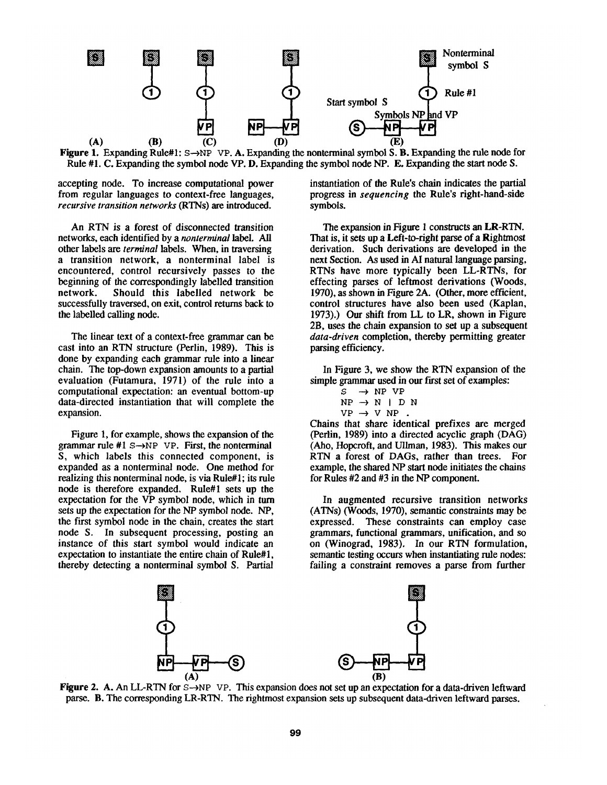

Figure 1. Expanding Rule#1:  $s \rightarrow NP$  VP. A. Expanding the nonterminal symbol S. B. Expanding the rule node for Rule #1. C. Expanding the symbol node VP. D. Expanding the symbol node NP. E, Expanding the start node S.

accepting node. To increase computational power from regular languages to context-free languages, *recursive transition networks* (RTNs) are introduced.

An RTN is a forest of disconnected transition networks, each identified by a *nonterminal label. All*  other labels are *terminal* labels. When, in traversing a transition network, a nonterminal label is encountered, control recursively passes to the beginning of the correspondingly labelled transition network. Should this labelled network be successfully traversed, on exit, control returns back to the labelled calling node.

The linear text of a context-free grammar can be cast into an RTN structure (Perlin, 1989). This is done by expanding each grammar rule into a linear chain. The top-down expansion amounts to a partial evaluation (Futamura, 1971) of the rule into a computational expectation: an eventual bottom-up data-directed instantiation that will complete the expansion.

Figure 1, for example, shows the expansion of the grammar rule #1  $s \rightarrow NP$  VP. First, the nonterminal S, which labels this connected component, is expanded as a nonterminal node. One method for realizing this nonterminal node, is via Rule#l; its rule node is therefore expanded. Rule#1 sets up the expectation for the VP symbol node, which in turn sets up the expectation for the NP symbol node. NP, the first symbol node in the chain, creates the start node S. In subsequent processing, posting an instance of this start symbol would indicate an expectation to instantiate the entire chain of Rule#l, thereby detecting a nonterminal symbol S. Partial

instantiation of the Rule's chain indicates the partial progress in *sequencing* the Rule's right-hand-side symbols.

The expansion in Figure 1 constructs an LR-RTN. That is, it sets up a Left-to-fight parse of a Rightmost derivation. Such derivations are developed in the next Section. As used in AI natural language parsing, RTNs have more typically been LL-RTNs, for effecting parses of leftmost derivations (Woods, 1970), as shown in Figure 2A. (Other, more efficient, control structures have also been used (Kaplan, 1973).) Our shift from LL to LR, shown in Figure 2B, uses the chain expansion to set up a subsequent *data-driven* completion, thereby permitting greater parsing efficiency.

In Figure 3, we show the RTN expansion of the simple grammar used in our first set of examples:

$$
S \rightarrow NP VP
$$
  
NP  $\rightarrow$  N | D  $P$   
VP  $\rightarrow$  V NP.

Chains that share identical prefixes are merged (Perlin, 1989) into a directed acyclic graph (DAG) (Aho, Hopcroft, and Ullman, 1983). This makes our RTN a forest of DAGs, rather than trees. For example, the shared NP start node initiates the chains for Rules #2 and #3 in the NP component.

In augmented recursive transition networks (ATNs) (Woods, 1970), semantic constraints may be expressed. These constraints can employ case grammars, functional grammars, unification, and so on (Winograd, 1983). In our RTN formulation, semantic testing occurs when instantiating rule nodes: failing a constraint removes a parse from further



Figure 2. A. An LL-RTN for S- $\rightarrow$ NP VP. This expansion does not set up an expectation for a data-driven leftward parse. B. The corresponding LR-RTN. The rightmost expansion sets up subsequent data-driven leftward parses.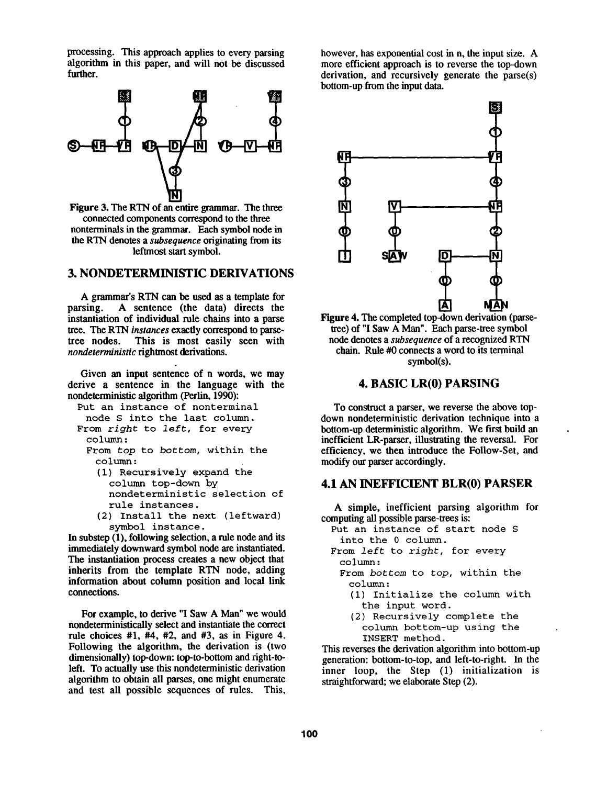processing. This approach applies to every parsing algorithm in this paper, and will not be discussed further.



Figure 3. The RTN of an entire grammar. The three connected components correspond to the three nonterminals in the grammar. Each symbol node in the RTN denotes a *subsequence* originating from its lefimost start symbol.

## 3. NONDETERMINISTIC DERIVATIONS

A grammar's RTN can be used as a template for parsing. A sentence (the data) directs the instantiation of individual rule chains into a parse **tree.** The RTN *instances* exactly correspond to parsetree nodes. This is most easily seen with This is most easily seen with *nondeterministic* rightmost derivations.

Given an input sentence of n words, we may derive a sentence in the language with the nondeterministic algorithm (Perlin, 1990):

- Put an instance of nonterminal node S into the last column.
- From *right* to *left,* for every column :
	- From *top* to *bottom,* within the column :
		- (i) Recursively expand the column top-down by nondeterministic selection of rule instances.
		- (2) Install the next (leftward) symbol instance.

In substep (1), following selection, a rule node and its immediately downward symbol node are instantiated. The instantiation process creates a new object that inherits from the template RTN node, adding information about column position and local link connections.

For example, to derive "I Saw A Man" we would nondeterministically select and instantiate the correct rule choices  $#1$ ,  $#4$ ,  $#2$ , and  $#3$ , as in Figure 4. Following the algorithm, the derivation is (two dimensionally) top-down: top-to-bottom and right-toleft. To actually use this nondeterministic derivation algorithm to obtain all parses, one might enumerate and test all possible sequences of rules. This, however, has exponential cost in n, the input size. A more efficient approach is to reverse the top-down derivation, and recursively generate the parse(s) bottom-up from the input data.



Figure 4. The completed top-down derivation (parsetree) of "I Saw A Man". Each parse-tree symbol node denotes a *subsequence* of a recognized RTN chain. Rule #0 connects a word to its terminal symbol(s).

### 4. BASIC LR(0) PARSING

To construct a parser, we reverse the above topdown nondeterministic derivation technique into a bottom-up deterministic algorithm. We first build an inefficient LR-parser, illustrating the reversal. For efficiency, we then introduce the Follow-Set, and modify our parser accordingly.

### **4.1 AN INEFFICIENT BLR(0) PARSER**

A simple, inefficient parsing algorithm for computing all possible parse-trees is:

Put an instance of start node S into the 0 column.

From *left* to *right,* for every column :

- From *bottom* to *top,* within the column :
	- (i) Initialize the column with the input word.
	- (2) Recursively complete the column bottom-up using the INSERT method.

This reverses the derivation algorithm into bottom-up generation: bottom-to-top, and left-to-right. In the inner loop, the Step (1) initialization is straightforward; we elaborate Step (2).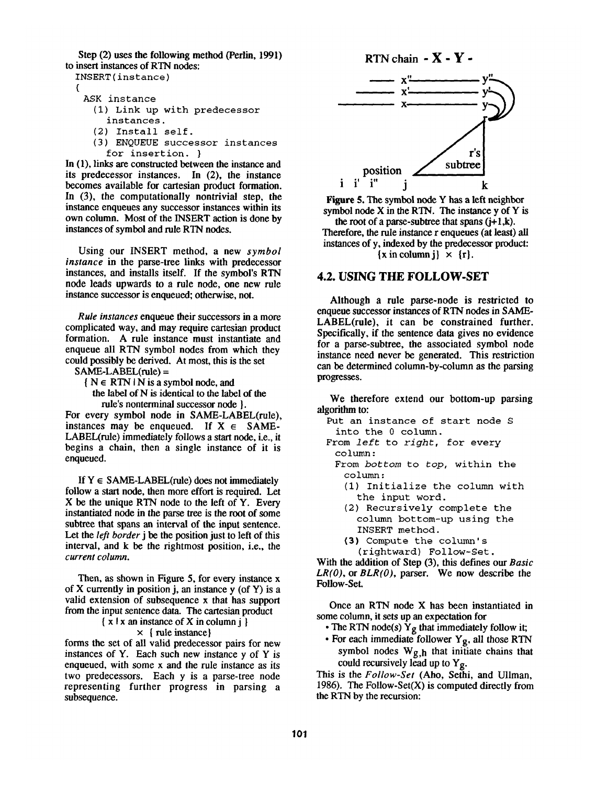Step (2) uses the following method (Perlin, 1991) to insert instances of RTN nodes:

INSERT ( instance )

(

- ASK instance
	- (I) Link up with predecessor instances.
	- (2) Install self.
	- (3) ENQUEUE successor instances for insertion. }

In (1), links are constructed between the instance and its predecessor instances. In (2), the instance becomes available for cartesian product formation. In (3), the computationally nontrivial step, the instance enqueues any successor instances within its own column. Most of the INSERT action is done by instances of symbol and rule RTN nodes.

Using our INSERT method, a new *symbol instance* in the parse-tree links with predecessor instances, and installs itself. If the symbol's RTN node leads upwards to a rule node, one new rule instance successor is enqueued; otherwise, not.

*Rule instances* enqueue their successors in a more complicated way, and may require cartesian product formation. A rule instance must instantiate and enqueue all RTN symbol nodes from which they could possibly be derived. At most, this is the set

SAME-LABEL(rule) =

 ${ N \in RTN \mid N \text{ is a symbol node, and} }$ 

the label of N is identical to the label of the rule's nonterminal successor node }.

For every symbol node in SAME-LABEL(rule), instances may be enqueued. If  $X \in SAME$ -LABEL(rule) immediately follows a start node, i.e., it begins a chain, then a single instance of it is enqueued.

If  $Y \in SAME-LABEL$ (rule) does not immediately follow a start node, then more effort is required. Let X be the unique RTN node to the left of Y. Every instantiated node in the parse tree is the root of some subtree that spans an interval of the input sentence. Let the *left border* j be the position just to left of this interval, and k be the rightmost position, i.e., the *current column.* 

Then, as shown in Figure 5, for every instance x of X currently in position j, an instance  $y$  (of Y) is a valid extension of subsequence x that has support from the input sentence data. The cartesian product

 $\{ x | x \text{ an instance of } X \text{ in column } j \}$ 

## x { rule instance}

forms the set of all valid predecessor pairs for new instances of Y. Each such new instance y of Y is enqueued, with some x and the rule instance as its two predecessors. Each y is a parse-tree node representing further progress in parsing a subsequence.



Figure 5. The symbol node Y has a left neighbor symbol node X in the RTN. The instance y of Y is the root of a parse-subtree that spans  $(i+1,k)$ . Therefore, the rule instance  $r$  enqueues (at least) all instances of y, indexed by the predecessor product:  $\{x \in \text{column } i\} \times \{r\}.$ 

## **4.2. USING THE FOLLOW-SET**

Although a rule parse-node is restricted to enqueue successor instances of RTN nodes in SAME-LABEL(rule), it can be constrained further. Specifically, if the sentence data gives no evidence for a parse-subtree, the associated symbol node instance need never be generated. This restriction can be determined column-by-column as the parsing progresses.

We therefore extend our bottom-up parsing algorithm to:

- Put an instance of start node S into the 0 column.
- From *left* to *right,* for every column:
	- From *bottom* to *top,* within the column :
		- (I) Initialize the column with the input word.
		- (2) Recursively complete the column bottom-up using the INSERT method.
		- (3) Compute the column's

(rightward) Follow-Set.

With the addition of Step (3), this defines our *Basic LR(O),* or *BLR(O),* parser. We now describe the Follow-Set.

Once an RTN node X has been instantiated in some column, it sets up an expectation for

- The RTN node(s)  $\hat{Y}_g$  that immediately follow it;
- For each immediate follower Yg, all those RTN symbol nodes  $W_{g,h}$  that initiate chains that could recursively lead up to  $Y_g$ .

This is the *Follow-Set* (Aho, Sethi, and Ullman, 1986). The Follow-Set $(X)$  is computed directly from the RTN by the recursion: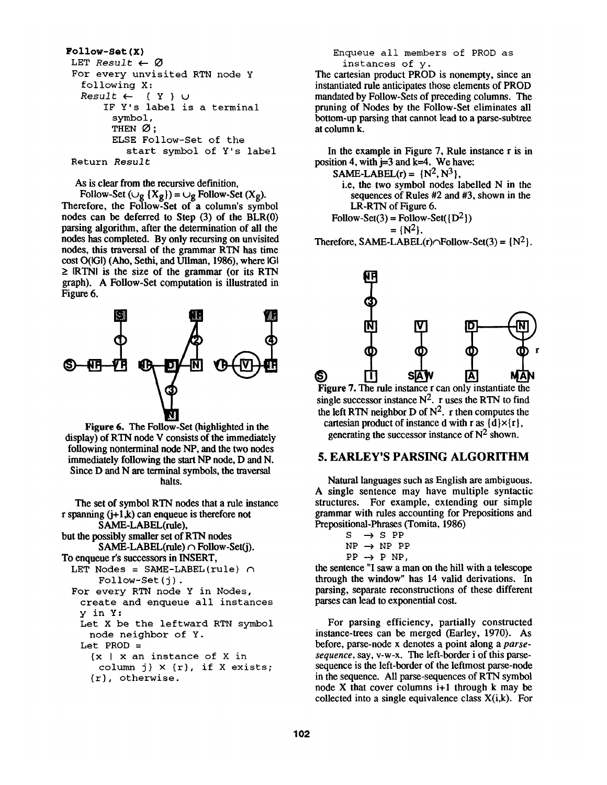```
Follow-Set(X) 
 LET Result \leftarrow \emptysetFor every unvisited RTN node Y 
   following X: 
   Result \leftarrow ( Y } \cupIF Y's label is a terminal 
         symbol, 
         THEN \varnothing:
         ELSE Follow-Set of the 
            start symbol of Y's label 
 Return Result
```
As is clear from the recursive definition.

Follow-Set  $(\cup_g {X_g}) = \cup_g$  Follow-Set  $(X_g)$ . Therefore, the Follow-Set of a column's symbol nodes can be deferred to Step (3) of the BLR(0) parsing algorithm, after the determination of all the nodes has completed. By only recursing on unvisited nodes, this traversal of the grammar RTN has time cost O(IGI) (Aho, Sethi, and UUman, 1986), where IGI  $\geq$  IRTNI is the size of the grammar (or its RTN graph). A Follow-Set computation is illustrated in Figure 6.



**Figure** 6. The Follow-Set (highlighted in the display) of RTN node V consists of the immediately following nonterminal node NP, and the two nodes immediately following the start NP node, D and N. Since D and N are terminal symbols, the traversal halts.

The set of symbol RTN nodes that a rule instance r spanning  $(i+1,k)$  can enqueue is therefore not SAME-LABEL(rule), but the possibly smaller set of RTN nodes  $SAME-LABEL$ (rule)  $\cap$  Follow-Set(j). To enqueue r's successors in INSERT, LET Nodes = SAME-LABEL(rule)  $\cap$ Follow-Set (j) . For every RTN node Y in Nodes, create and enqueue all instances y inY: Let X be the leftward RTN symbol node neighbor of Y. Let  $PROD =$ {x I x an instance of X in column j}  $\times$  {r}, if X exists; {r}, otherwise.

Enqueue all members of PROD as instances of y.

The cartesian product PROD is nonempty, since an instantiated rule anticipates those elements of PROD mandated by Follow-Sets of preceding columns. The pruning of Nodes by the Follow-Set eliminates all bottom-up parsing that cannot lead to a parse-subtree at column k.

In the example in Figure 7, Rule instance r is in position 4, with  $j=3$  and  $k=4$ . We have:

SAME-LABEL(r) =  $\{N^2, N^3\}$ , i.e, the two symbol nodes labelled N in the sequences of Rules #2 and #3, shown in the LR-RTN of Figure 6.

Follow-Set(3) = Follow-Set( $\{D^2\}$ )  $= \{N^2\}.$ 

Therefore, SAME-LABEL(r) $\cap$ Follow-Set(3) = {N<sup>2</sup>}.



**Figure 7.** The rule instance r can only instantiate the single successor instance  $N^2$ . r uses the RTN to find the left RTN neighbor D of  $N^2$ , r then computes the cartesian product of instance d with r as  $\{d\}\times\{r\}$ , generating the successor instance of  $N^2$  shown.

## 5. EARLEY'S PARSING ALGORITHM

Natural languages such as English are ambiguous. A single sentence may have multiple syntactic structures. For example, extending our simple grammar with rules accounting for Prepositions and Prepositional-Phrases (Tomita, 1986)

| S. | $\rightarrow$ S PP     |
|----|------------------------|
|    | $NP \rightarrow NP PP$ |
|    | $PP \rightarrow P NP$  |
|    | . <b>HT</b>            |

the sentence "I saw a man on the hill with a telescope through the window" has 14 valid derivations, In parsing, separate reconstructions of these different parses can lead to exponential cost.

For parsing efficiency, partially constructed instance-trees can be merged (Earley, 1970). As before, parse-node x denotes a point along a *parsesequence,* say, v-w-x. The left-border i of this parsesequence is the left-border of the leftmost parse-node in the sequence. All parse-sequences of RTN symbol node X that cover columns  $i+1$  through k may be collected into a single equivalence class  $X(i,k)$ . For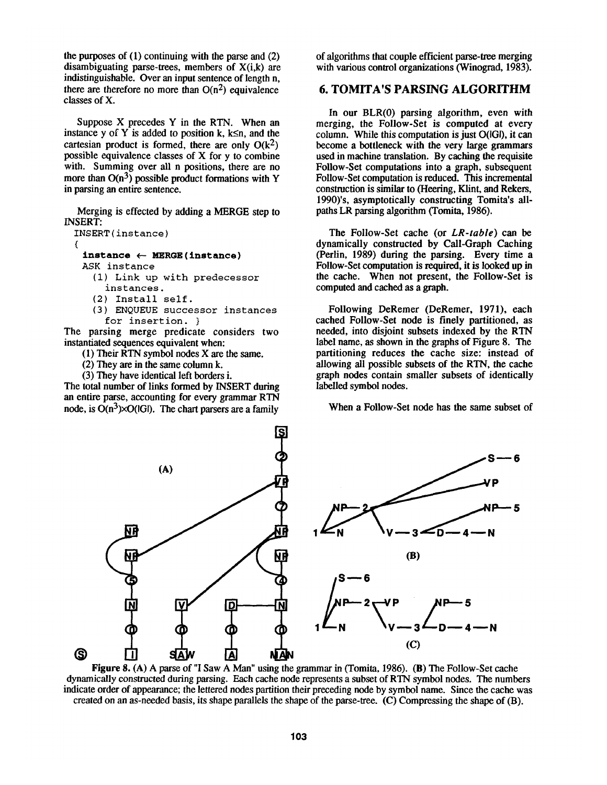the purposes of (1) continuing with the parse and (2) disambiguating parse-trees, members of X(i,k) are indistinguishable. Over an input sentence of length n, there are therefore no more than  $O(n^2)$  equivalence classes of X.

Suppose X precedes Y in the RTN. When an instance y of Y is added to position k, k $\leq n$ , and the cartesian product is formed, there are only  $O(k^2)$ possible equivalence classes of X for y to combine with. Summing over all n positions, there are no more than  $O(n^3)$  possible product formations with Y in parsing an entire sentence.

Merging is effected by adding a MERGE step to INSERT:

```
INSERT ( instance ) 
( 
 instance \leftarrow MERGE (instance)ASK instance 
   (1) Link up with predecessor 
      instances.
```
- (2) Install self.
- (3) ENQUEUE successor instances for insertion. }

The parsing merge predicate considers two instantiated sequences equivalent when:

- (1) Their RTN symbol nodes X are the same.
- (2) They are in the same column k.
- (3) They have identical left borders i.

The total number of links formed by INSERT during an entire parse, accounting for every grammar RTN node, is  $O(n^3)\times O(|G|)$ . The chart parsers are a family

of algorithms that couple efficient parse-tree merging with various control organizations (Winograd, 1983).

# 6. TOMITA'S PARSING ALGORITHM

In our BLR(0) parsing algorithm, even with merging, the Follow-Set is computed at every column. While this computation is just O(IGI), it can become a bottleneck with the very large grammars used in machine translation. By caching the requisite Follow-Set computations into a graph, subsequent Follow-Set computation is reduced. This incremental construction is similar to (Heering, Klint, and Rekers, 1990)'s, asymptotically constructing Tomita's allpaths LR parsing algorithm (Tomita, 1986).

The Follow-Set cache (or *LR-table) can be*  dynamically constructed by Call-Graph Caching (Perlin, 1989) during the parsing. Every time a Follow-Set computation is required, it is looked up in the cache. When not present, the Follow-Set is computed and cached as a graph.

Following DeRemer (DeRemer, 1971), each cached Follow-Set node is finely partitioned, as needed, into disjoint subsets indexed by the RTN label name, as shown in the graphs of Figure 8. The partitioning reduces the cache size: instead of allowing all possible subsets of the RTN, the cache graph nodes contain smaller subsets of identically labelled symbol nodes.

When a Follow-Set node has the same subset of



Figure 8. (A) A parse of "I Saw A Man" using the grammar in (Tomita, 1986). (B) The Follow-Set cache dynamically constructed during parsing. Each cache node represents a subset of RTN symbol nodes. The numbers indicate order of appearance; the lettered nodes partition their preceding node by symbol name. Since the cache was created on an as-needed basis, its shape parallels the shape of the parse-tree. (C) Compressing the shape of (B).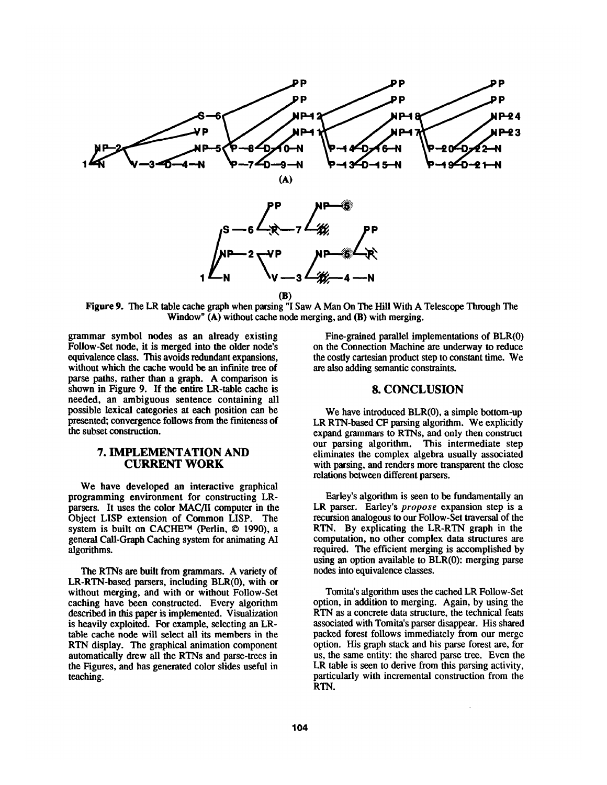

**(B)** 

Figure 9. The LR table cache graph when parsing "I Saw A Man On The Hill With A Telescope Through The Window" (A) without cache node merging, and (B) with merging.

grammar symbol nodes as an already existing Follow-Set node, it is merged into the older node's equivalence class. This avoids redundant expansions, without which the cache would be an infinite tree of parse paths, rather than a graph. A comparison is shown in Figure 9. If the entire LR-table cache is needed, an ambiguous sentence containing all possible lexical categories at each position can be presented; convergence follows from the finiteness of the subset construction.

#### **7. IMPLEMENTATION AND CURRENT WORK**

We have developed an interactive graphical programming environment for constructing LRparsers. It uses the color MAC/II computer in the Object LISP extension of Common LISP. The system is built on CACHE™ (Perlin, © 1990), a general Call-Graph Caching system for animating AI algorithms.

The RTNs are built from grammars. A variety of LR-RTN-based parsers, including BLR(0), with or without merging, and with or without Follow-Set caching have been constructed. Every algorithm described in this paper is implemented. Visualization is heavily exploited. For example, selecting an LRtable cache node will select all its members in the RTN display. The graphical animation component automatically drew all the RTNs and parse-trees in the Figures, and has generated color slides useful in teaching.

Fine-grained parallel implementations of BLR(0) on the Connection Machine are underway to reduce the costly cartesian product step to constant time. We are also adding semantic constraints.

#### **8. CONCLUSION**

We have introduced BLR(0), a simple bottom-up LR RTN-based CF parsing algorithm. We explicitly expand grammars to RTNs, and only then construct our parsing algorithm. This intermediate step eliminates the complex algebra usually associated with parsing, and renders more transparent the close relations between different parsers.

Earley's algorithm is seen to be fundamentally an LR parser. Earley's *propose* expansion step is a recursion analogous to our Follow-Set traversal of the RTN. By explicating the LR-RTN graph in the computation, no other complex data structures are required. The efficient merging is accomplished by using an option available to BLR(0): merging parse nodes into equivalence classes.

Tomita's algorithm uses the cached LR Follow-Set option, in addition to merging. Again, by using the RTN as a concrete data structure, the technical feats associated with Tomita's parser disappear. His shared packed forest follows immediately from our merge option. His graph stack and his parse forest are, for us, the same entity: the shared parse tree. Even the LR table is seen to derive from this parsing activity, particularly with incremental construction from the RTN.